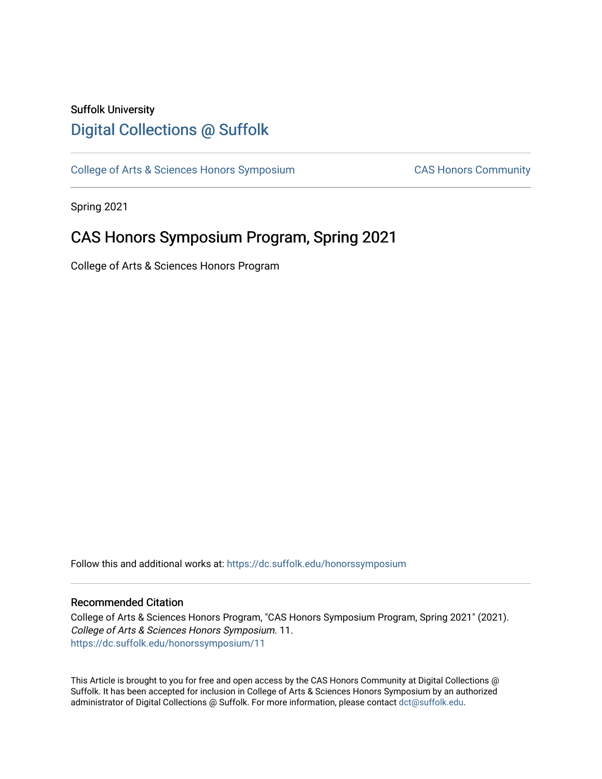## Suffolk University [Digital Collections @ Suffolk](https://dc.suffolk.edu/)

[College of Arts & Sciences Honors Symposium](https://dc.suffolk.edu/honorssymposium) CAS Honors Community

Spring 2021

# CAS Honors Symposium Program, Spring 2021

College of Arts & Sciences Honors Program

Follow this and additional works at: [https://dc.suffolk.edu/honorssymposium](https://dc.suffolk.edu/honorssymposium?utm_source=dc.suffolk.edu%2Fhonorssymposium%2F11&utm_medium=PDF&utm_campaign=PDFCoverPages) 

#### Recommended Citation

College of Arts & Sciences Honors Program, "CAS Honors Symposium Program, Spring 2021" (2021). College of Arts & Sciences Honors Symposium. 11. [https://dc.suffolk.edu/honorssymposium/11](https://dc.suffolk.edu/honorssymposium/11?utm_source=dc.suffolk.edu%2Fhonorssymposium%2F11&utm_medium=PDF&utm_campaign=PDFCoverPages) 

This Article is brought to you for free and open access by the CAS Honors Community at Digital Collections @ Suffolk. It has been accepted for inclusion in College of Arts & Sciences Honors Symposium by an authorized administrator of Digital Collections @ Suffolk. For more information, please contact [dct@suffolk.edu.](mailto:dct@suffolk.edu)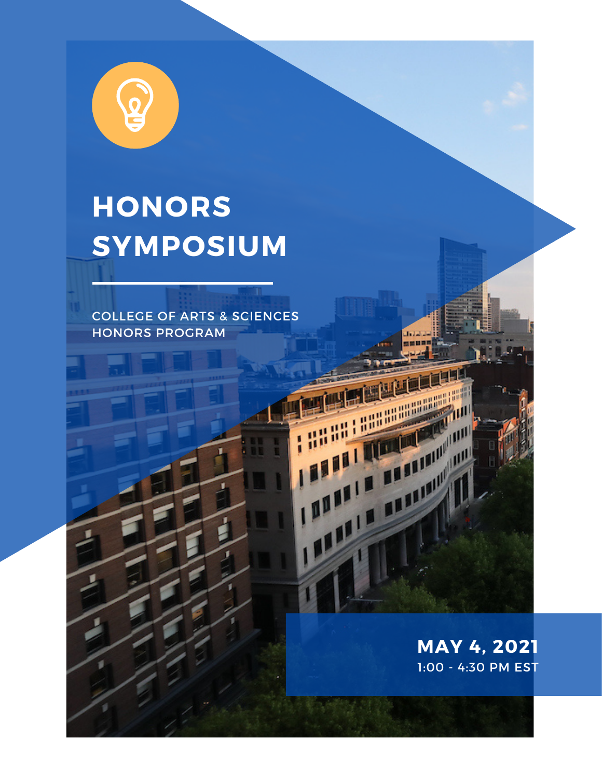

# **HONORS SYMPOSIUM**

COLLEGE OF ARTS & SCIENCES HONORS PROGRAM

> **MAY 4, 2021** 1:00 - 4:30 PM EST

The Marian

**THE REAL PROPERTY AND** 

**THE REAL PROPERTY**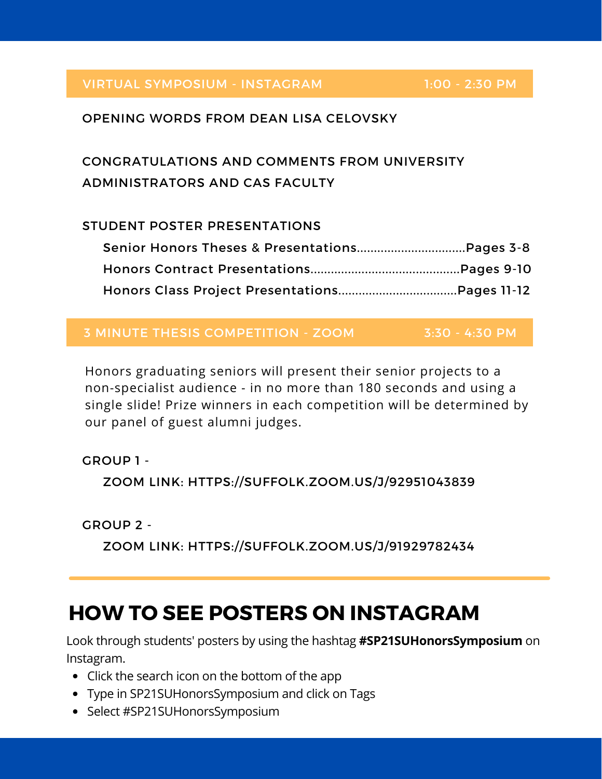#### VIRTUAL SYMPOSIUM - INSTAGRAM

1:00 - 2:30 PM

#### OPENING WORDS FROM DEAN LISA CELOVSKY

# CONGRATULATIONS AND COMMENTS FROM UNIVERSITY ADMINISTRATORS AND CAS FACULTY

#### STUDENT POSTER PRESENTATIONS

#### 3 MINUTE THESIS COMPETITION - ZOOM 3:30 - 4:30 PM

Honors graduating seniors will present their senior projects to a non-specialist audience - in no more than 180 seconds and using a single slide! Prize winners in each competition will be determined by our panel of guest alumni judges.

GROUP 1 - ZOOM LINK: HTTPS://SUFFOLK.ZOOM.US/J/92951043839

GROUP 2 -

ZOOM LINK: HTTPS://SUFFOLK.ZOOM.US/J/91929782434

# **HOW TO SEE POSTERS ON INSTAGRAM**

Look through students' posters by using the hashtag **#SP21SUHonorsSymposium** on Instagram.

- Click the search icon on the bottom of the app
- Type in SP21SUHonorsSymposium and click on Tags
- Select #SP21SUHonorsSymposium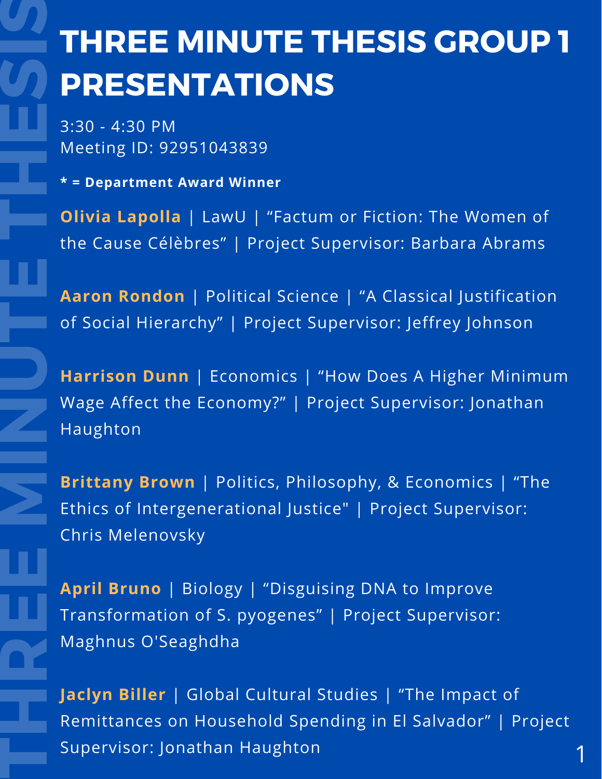# **THREE MINUTE THESIS GROUP 1 PRESENTATIONS**

3:30 - 4:30 PM Meeting ID: 92951043839

**\* = Department Award Winner**

**T**

**H**

**R**

**E**

**E**

**M**

**N**

**U**

**T**

**E**

**T**

**H**

**E**

**S**

**S**

**Olivia Lapolla** | LawU | "Factum or Fiction: The Women of the Cause Célèbres" | Project Supervisor: Barbara Abrams

**Aaron Rondon** | Political Science | "A Classical Justification of Social Hierarchy" | Project Supervisor: Jeffrey Johnson

**Harrison Dunn** | Economics | "How Does A Higher Minimum Wage Affect the Economy?" | Project Supervisor: Jonathan Haughton

**Brittany Brown** | Politics, Philosophy, & Economics | "The Ethics of Intergenerational Justice" | Project Supervisor: Chris Melenovsky

**April Bruno** | Biology | "Disguising DNA to Improve Transformation of S. pyogenes" | Project Supervisor: Maghnus O'Seaghdha

**Jaclyn Biller** | Global Cultural Studies | "The Impact of Remittances on Household Spending in El Salvador" | Project Supervisor: Jonathan Haughton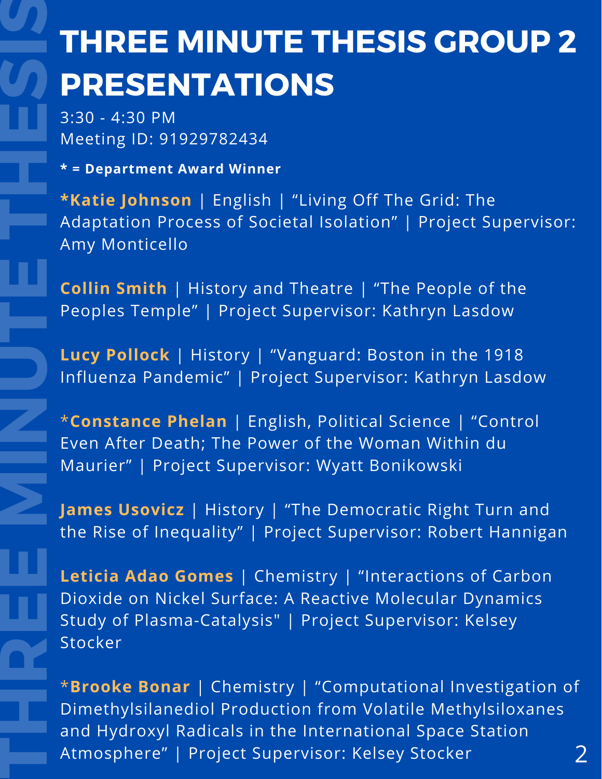# **THREE MINUTE THESIS GROUP 2 PRESENTATIONS**

3:30 - 4:30 PM Meeting ID: 91929782434

**\* = Department Award Winner**

**T**

**H**

**R**

**E**

**E**

**M**

**N**

**U**

**T**

**E**

**T**

**H**

**E**

**S**

**S**

 Amy Monticello **\*Katie Johnson** | English | "Living Off The Grid: The Adaptation Process of Societal Isolation" | Project Supervisor:

 Peoples Temple" | Project Supervisor: Kathryn Lasdow **Collin Smith** | History and Theatre | "The People of the

**Lucy Pollock** | History | "Vanguard: Boston in the 1918 Influenza Pandemic" | Project Supervisor: Kathryn Lasdow

 Maurier" | Project Supervisor: Wyatt Bonikowski Even After Death; The Power of the Woman Within du \***Constance Phelan** | English, Political Science | "Control

 the Rise of Inequality" | Project Supervisor: Robert Hannigan **James Usovicz** | History | "The Democratic Right Turn and

 Stocker Dioxide on Nickel Surface: A Reactive Molecular Dynamics **Leticia Adao Gomes** | Chemistry | "Interactions of Carbon Study of Plasma-Catalysis" | Project Supervisor: Kelsey

 and Hydroxyl Radicals in the International Space Station \***Brooke Bonar** | Chemistry | "Computational Investigation of Dimethylsilanediol Production from Volatile Methylsiloxanes Atmosphere" | Project Supervisor: Kelsey Stocker 2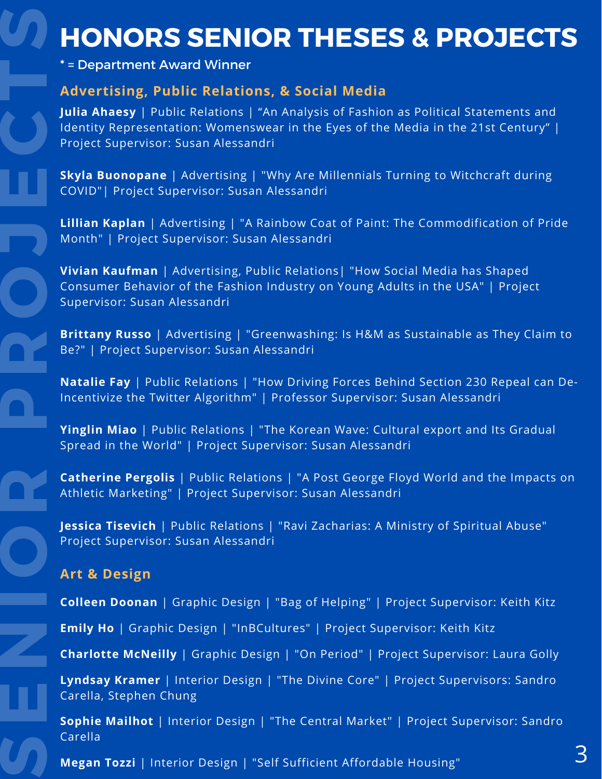# **HONORS SENIOR THESES & PROJECTS**

\* = Department Award Winner

## **Advertising, Public Relations, & Social Media**

**Julia Ahaesy** | Public Relations | "An Analysis of Fashion as Political Statements and Identity Representation: Womenswear in the Eyes of the Media in the 21st Century" | Project Supervisor: Susan Alessandri

**Skyla Buonopane** | Advertising | "Why Are Millennials Turning to Witchcraft during COVID"| Project Supervisor: Susan Alessandri

**Lillian Kaplan** | Advertising | "A Rainbow Coat of Paint: The Commodification of Pride Month" | Project Supervisor: Susan Alessandri **Month** 

> **Vivian Kaufman** | Advertising, Public Relations| "How Social Media has Shaped Consumer Behavior of the Fashion Industry on Young Adults in the USA" | Project Supervisor: Susan Alessandri

**Brittany Russo** | Advertising | "Greenwashing: Is H&M as Sustainable as They Claim to Be?" | Project Supervisor: Susan Alessandri

**Natalie Fay** | Public Relations | "How Driving Forces Behind Section 230 Repeal can De- Incentivize the Twitter Algorithm" | Professor Supervisor: Susan Alessandri

**Yinglin Miao** | Public Relations | "The Korean Wave: Cultural export and Its Gradual Spread in the World" | Project Supervisor: Susan Alessandri

**Catherine Pergolis** | Public Relations | "A Post George Floyd World and the Impacts on Athletic Marketing" | Project Supervisor: Susan Alessandri

**Jessica Tisevich** | Public Relations | "Ravi Zacharias: A Ministry of Spiritual Abuse" Project Supervisor: Susan Alessandri

### **Art & Design**

**S**

**E**

**N**

**O**

**R**

**P**

**R**

**O**

**E**

**C**

**T**

**S**

**Colleen Doonan** | Graphic Design | "Bag of Helping" | Project Supervisor: Keith Kitz

**Emily Ho** | Graphic Design | "InBCultures" | Project Supervisor: Keith Kitz

**Charlotte McNeilly** | Graphic Design | "On Period" | Project Supervisor: Laura Golly

**Lyndsay Kramer** | Interior Design | "The Divine Core" | Project Supervisors: Sandro Carella, Stephen Chung

**Sophie Mailhot** | Interior Design | "The Central Market" | Project Supervisor: Sandro Carella

**Megan Tozzi** | Interior Design | "Self Sufficient Affordable Housing"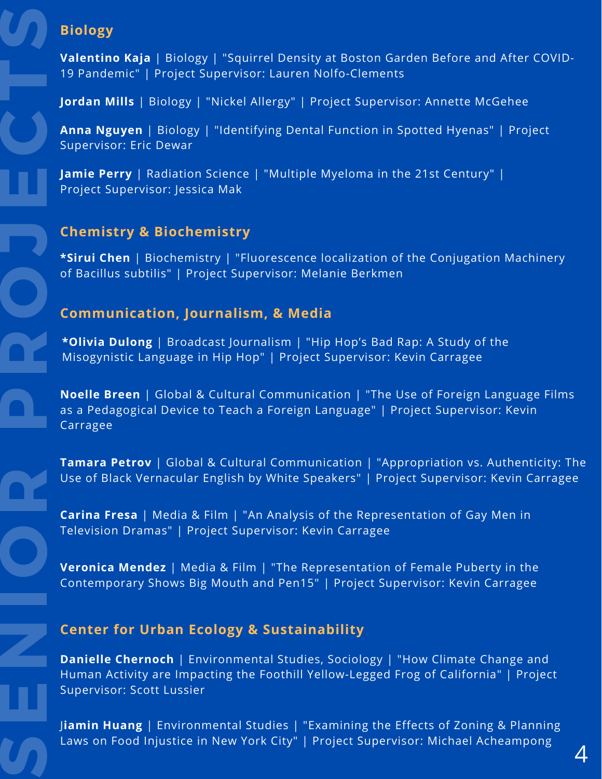# **Biology**

**S**

**E**

**N**

**O**

**R**

**P**

**R**

**O**

**E**

**C**

**T**

**S**

**Valentino Kaja** | Biology | "Squirrel Density at Boston Garden Before and After COVID-19 Pandemic" | Project Supervisor: Lauren Nolfo-Clements

**Jordan Mills** | Biology | "Nickel Allergy" | Project Supervisor: Annette McGehee

**Anna Nguyen** | Biology | "Identifying Dental Function in Spotted Hyenas" | Project Supervisor: Eric Dewar

**Jamie Perry** | Radiation Science | "Multiple Myeloma in the 21st Century" | Project Supervisor: Jessica Mak

# **Chemistry & Biochemistry J**

**\*Sirui Chen** | Biochemistry | "Fluorescence localization of the Conjugation Machinery of Bacillus subtilis" | Project Supervisor: Melanie Berkmen

#### **Communication, Journalism, & Media**

**\*Olivia Dulong** | Broadcast Journalism | "Hip Hop's Bad Rap: A Study of the Misogynistic Language in Hip Hop" | Project Supervisor: Kevin Carragee

**Noelle Breen** | Global & Cultural Communication | "The Use of Foreign Language Films as a Pedagogical Device to Teach a Foreign Language" | Project Supervisor: Kevin Carragee

**Tamara Petrov** | Global & Cultural Communication | "Appropriation vs. Authenticity: The Use of Black Vernacular English by White Speakers" | Project Supervisor: Kevin Carragee

**Carina Fresa** | Media & Film | "An Analysis of the Representation of Gay Men in Television Dramas" | Project Supervisor: Kevin Carragee

**Veronica Mendez** | Media & Film | "The Representation of Female Puberty in the Contemporary Shows Big Mouth and Pen15" | Project Supervisor: Kevin Carragee

### **Center for Urban Ecology & Sustainability**

**Danielle Chernoch** | Environmental Studies, Sociology | "How Climate Change and Human Activity are Impacting the Foothill Yellow-Legged Frog of California" | Project Supervisor: Scott Lussier

J**iamin Huang** | Environmental Studies | "Examining the Effects of Zoning & Planning Laws on Food Injustice in New York City" | Project Supervisor: Michael Acheampong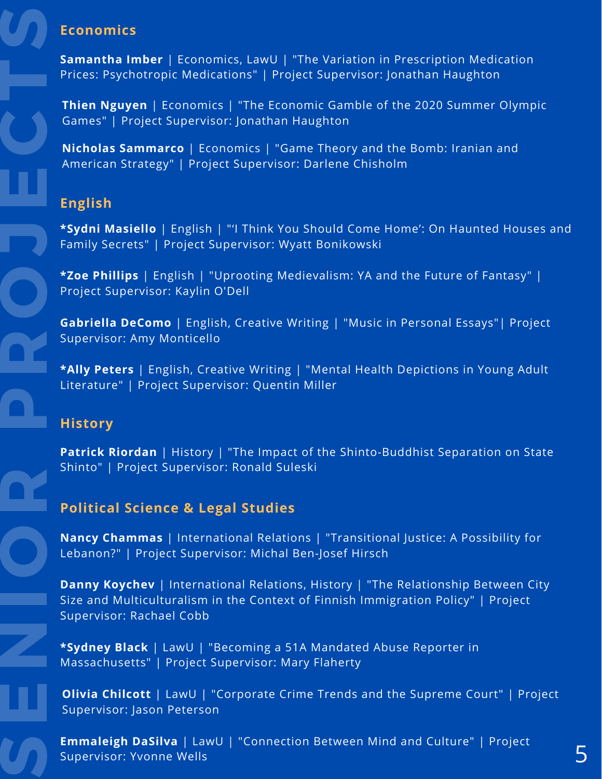## **Economics**

**Samantha Imber** | Economics, LawU | "The Variation in Prescription Medication Prices: Psychotropic Medications" | Project Supervisor: Jonathan Haughton

**Thien Nguyen** | Economics | "The Economic Gamble of the 2020 Summer Olympic Games" | Project Supervisor: Jonathan Haughton

**Nicholas Sammarco** | Economics | "Game Theory and the Bomb: Iranian and American Strategy" | Project Supervisor: Darlene Chisholm

### **English**

**\*Sydni Masiello** | English | "'I Think You Should Come Home': On Haunted Houses and **Family Secrets" | Project Supervisor: Wyatt Bonikowski**<br>Family Secrets" | Project Supervisor: Wyatt Bonikowski

> **\*Zoe Phillips** | English | "Uprooting Medievalism: YA and the Future of Fantasy" | Project Supervisor: Kaylin O'Dell

**Gabriella DeComo** | English, Creative Writing | "Music in Personal Essays"| Project Supervisor: Amy Monticello

**\*Ally Peters** | English, Creative Writing | "Mental Health Depictions in Young Adult Literature" | Project Supervisor: Quentin Miller

### **History**

**S**

**E**

**N**

**O**

**R**

**P**

**R**

**O**

**E**

**C**

**T**

**S**

**Patrick Riordan** | History | "The Impact of the Shinto-Buddhist Separation on State Shinto" | Project Supervisor: Ronald Suleski

# **Political Science & Legal Studies**

**Nancy Chammas** | International Relations | "Transitional Justice: A Possibility for Lebanon?" | Project Supervisor: Michal Ben-Josef Hirsch

**Danny Koychev** | International Relations, History | "The Relationship Between City Size and Multiculturalism in the Context of Finnish Immigration Policy" | Project Supervisor: Rachael Cobb

**\*Sydney Black** | LawU | "Becoming a 51A Mandated Abuse Reporter in Massachusetts" | Project Supervisor: Mary Flaherty

**Olivia Chilcott** | LawU | "Corporate Crime Trends and the Supreme Court" | Project Supervisor: Jason Peterson

**Emmaleigh DaSilva** | LawU | "Connection Between Mind and Culture" | Project Supervisor: Yvonne Wells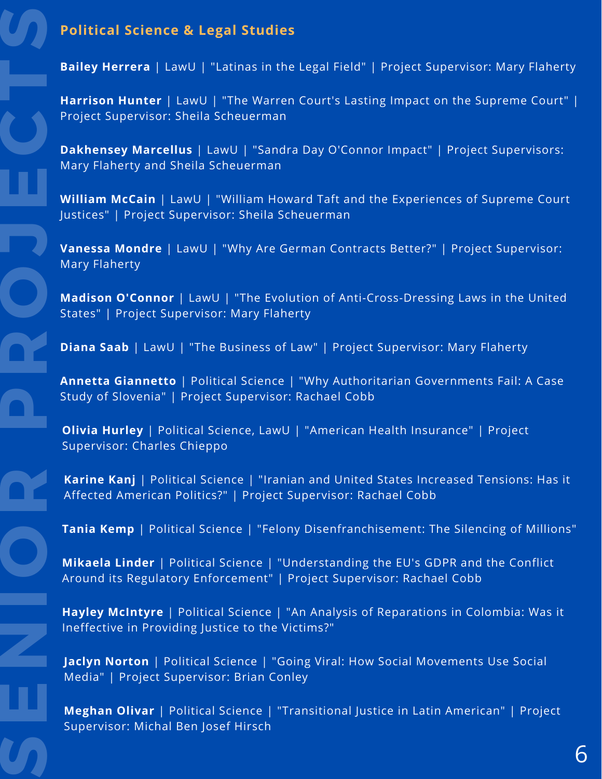### **Political Science & Legal Studies**

**Bailey Herrera** | LawU | "Latinas in the Legal Field" | Project Supervisor: Mary Flaherty

**Harrison Hunter** | LawU | "The Warren Court's Lasting Impact on the Supreme Court" | Project Supervisor: Sheila Scheuerman

**Dakhensey Marcellus** | LawU | "Sandra Day O'Connor Impact" | Project Supervisors: Mary Flaherty and Sheila Scheuerman

**William McCain** | LawU | "William Howard Taft and the Experiences of Supreme Court Justices" | Project Supervisor: Sheila Scheuerman

**Vanessa Mondre** | LawU | "Why Are German Contracts Better?" | Project Supervisor: **J** Mary Flaherty

> **Madison O'Connor** | LawU | "The Evolution of Anti-Cross-Dressing Laws in the United States" | Project Supervisor: Mary Flaherty

**Diana Saab** | LawU | "The Business of Law" | Project Supervisor: Mary Flaherty

**Annetta Giannetto** | Political Science | "Why Authoritarian Governments Fail: A Case Study of Slovenia" | Project Supervisor: Rachael Cobb

**Olivia Hurley** | Political Science, LawU | "American Health Insurance" | Project Supervisor: Charles Chieppo

**Karine Kanj** | Political Science | "Iranian and United States Increased Tensions: Has it Affected American Politics?" | Project Supervisor: Rachael Cobb

**Tania Kemp** | Political Science | "Felony Disenfranchisement: The Silencing of Millions"

**Mikaela Linder** | Political Science | "Understanding the EU's GDPR and the Conflict Around its Regulatory Enforcement" | Project Supervisor: Rachael Cobb

**Hayley McIntyre** | Political Science | "An Analysis of Reparations in Colombia: Was it Ineffective in Providing Justice to the Victims?"

**Jaclyn Norton** | Political Science | "Going Viral: How Social Movements Use Social Media" | Project Supervisor: Brian Conley

**Meghan Olivar** | Political Science | "Transitional Justice in Latin American" | Project Supervisor: Michal Ben Josef Hirsch

**S**

**E**

**N**

**O**

**R**

**P**

**R**

**O**

**E**

**C**

**T**

**S**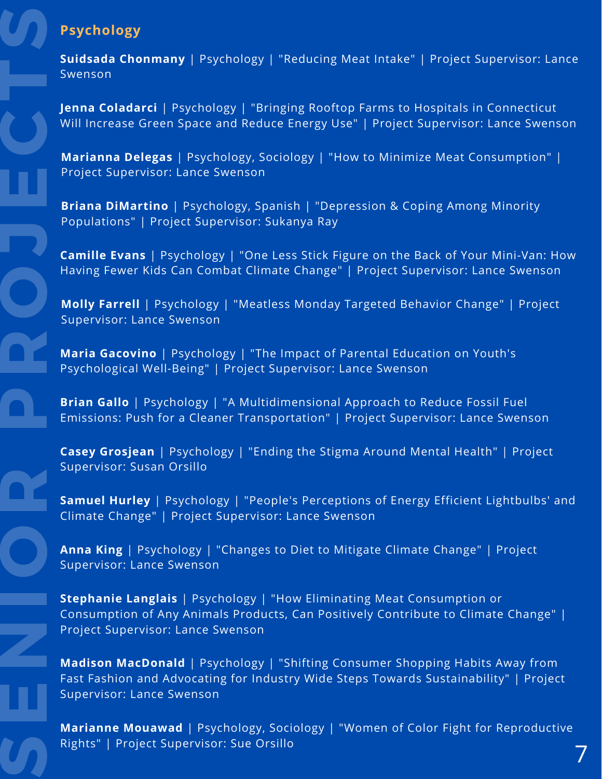# **Psychology**

**S**

**E**

**N**

**O**

**R**

**P**

**R**

**O**

**E**

**C**

**T**

**S**

**Suidsada Chonmany** | Psychology | "Reducing Meat Intake" | Project Supervisor: Lance Swenson

 **Jenna Coladarci** | Psychology | "Bringing Rooftop Farms to Hospitals in Connecticut Will Increase Green Space and Reduce Energy Use" | Project Supervisor: Lance Swenson

 **Marianna Delegas** | Psychology, Sociology | "How to Minimize Meat Consumption" | Project Supervisor: Lance Swenson

**Briana DiMartino** | Psychology, Spanish | "Depression & Coping Among Minority Populations" | Project Supervisor: Sukanya Ray

**J**<br>**J** Camil **Camille Evans** | Psychology | "One Less Stick Figure on the Back of Your Mini-Van: How Having Fewer Kids Can Combat Climate Change" | Project Supervisor: Lance Swenson

> Supervisor: Lance Swenson **Molly Farrell** | Psychology | "Meatless Monday Targeted Behavior Change" | Project

**Maria Gacovino** | Psychology | "The Impact of Parental Education on Youth's Psychological Well-Being" | Project Supervisor: Lance Swenson

**Brian Gallo** | Psychology | "A Multidimensional Approach to Reduce Fossil Fuel Emissions: Push for a Cleaner Transportation" | Project Supervisor: Lance Swenson

**Casey Grosjean** | Psychology | "Ending the Stigma Around Mental Health" | Project Supervisor: Susan Orsillo

 Climate Change" | Project Supervisor: Lance Swenson **Samuel Hurley** | Psychology | "People's Perceptions of Energy Efficient Lightbulbs' and

**Anna King** | Psychology | "Changes to Diet to Mitigate Climate Change" | Project Supervisor: Lance Swenson

 Consumption of Any Animals Products, Can Positively Contribute to Climate Change" | **Stephanie Langlais** | Psychology | "How Eliminating Meat Consumption or Project Supervisor: Lance Swenson

 Fast Fashion and Advocating for Industry Wide Steps Towards Sustainability" | Project **Madison MacDonald** | Psychology | "Shifting Consumer Shopping Habits Away from Supervisor: Lance Swenson

 **Marianne Mouawad** | Psychology, Sociology | "Women of Color Fight for Reproductive Rights" | Project Supervisor: Sue Orsillo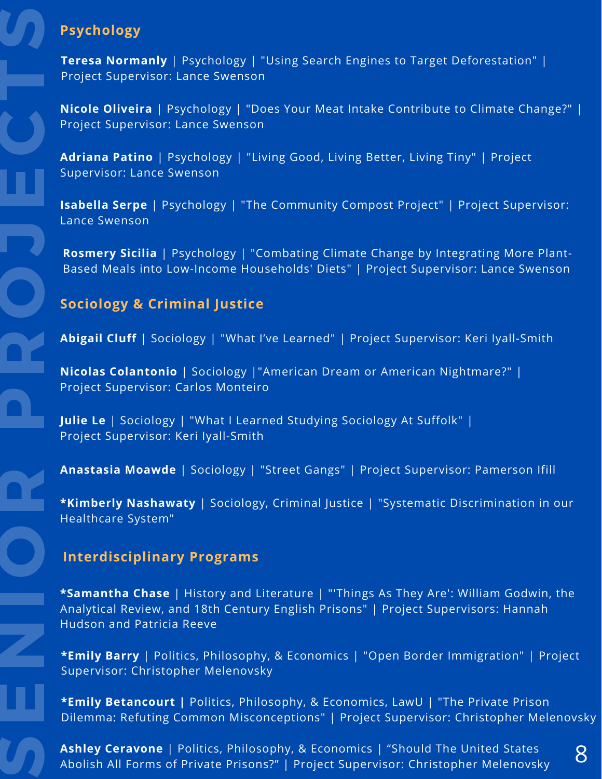# **Psychology**

**Teresa Normanly** | Psychology | "Using Search Engines to Target Deforestation" | Project Supervisor: Lance Swenson

 **Nicole Oliveira** | Psychology | "Does Your Meat Intake Contribute to Climate Change?" | Project Supervisor: Lance Swenson

 **Adriana Patino** | Psychology | "Living Good, Living Better, Living Tiny" | Project Supervisor: Lance Swenson

**Isabella Serpe** | Psychology | "The Community Compost Project" | Project Supervisor: Lance Swenson

**June 2018**<br>**Rosmery Sicilia** | Psychology | "Combating Climate Change by Integrating More Plant-Based Meals into Low-Income Households' Diets" | Project Supervisor: Lance Swenson

# **Sociology & Criminal Justice**

**Abigail Cluff** | Sociology | "What I've Learned" | Project Supervisor: Keri Iyall-Smith

**Nicolas Colantonio** | Sociology |"American Dream or American Nightmare?" | Project Supervisor: Carlos Monteiro

 Project Supervisor: Keri Iyall-Smith **Julie Le** | Sociology | "What I Learned Studying Sociology At Suffolk" |

**Anastasia Moawde** | Sociology | "Street Gangs" | Project Supervisor: Pamerson Ifill

 Healthcare System" **\*Kimberly Nashawaty** | Sociology, Criminal Justice | "Systematic Discrimination in our

### **Interdisciplinary Programs**

 Analytical Review, and 18th Century English Prisons" | Project Supervisors: Hannah **\*Samantha Chase** | History and Literature | "'Things As They Are': William Godwin, the Hudson and Patricia Reeve

 Supervisor: Christopher Melenovsky **\*Emily Barry** | Politics, Philosophy, & Economics | "Open Border Immigration" | Project

**\*Emily Betancourt |** Politics, Philosophy, & Economics, LawU | "The Private Prison Dilemma: Refuting Common Misconceptions" | Project Supervisor: Christopher Melenovsky

**Ashley Ceravone** | Politics, Philosophy, & Economics | "Should The United States **Ashley Ceravone** | Politics, Philosophy, & Economics | "Should The United States [18]<br>Abolish All Forms of Private Prisons?" | Project Supervisor: Christopher Melenovsky [18]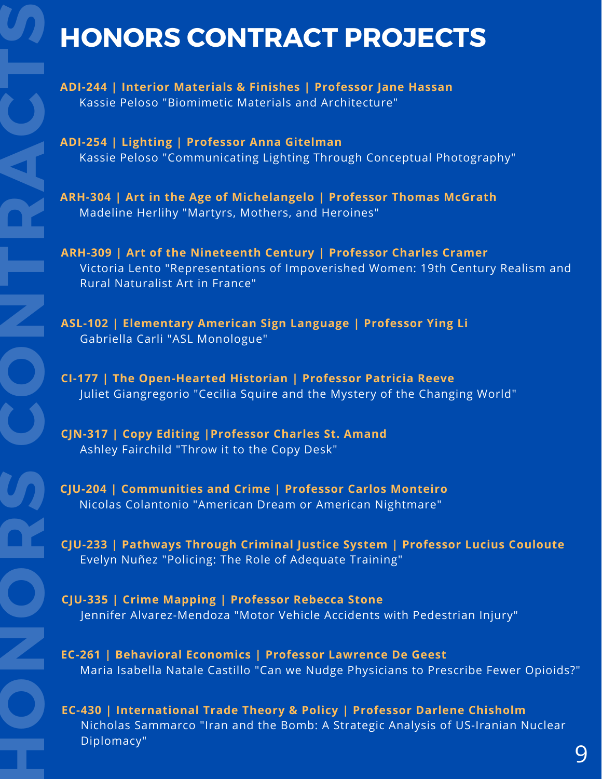# **HONORS CONTRACT PROJECTS**

 **ADI-244 | Interior Materials & Finishes | Professor Jane Hassan** Kassie Peloso "Biomimetic Materials and Architecture"

**ADI-254**<br>Kassi **ADI-254 | Lighting | Professor Anna Gitelman** Kassie Peloso "Communicating Lighting Through Conceptual Photography"

**ARH-304 | Art in the Age of Michelangelo | Professor Thomas McGrath** Madeline Herlihy "Martyrs, Mothers, and Heroines"

 Rural Naturalist Art in France" **ARH-309 | Art of the Nineteenth Century | Professor Charles Cramer** Victoria Lento "Representations of Impoverished Women: 19th Century Realism and

 Gabriella Carli "ASL Monologue" **ASL-102 | Elementary American Sign Language | Professor Ying Li**

 Juliet Giangregorio "Cecilia Squire and the Mystery of the Changing World" **CI-177 | The Open-Hearted Historian | Professor Patricia Reeve**

 Ashley Fairchild "Throw it to the Copy Desk" **CJN-317 | Copy Editing |Professor Charles St. Amand**

**H**

**O**

**N**

**O**

**R**

**S**

**C**

**O**

**N**

**T**

**R**

**C**

**T**

**S**

**CJU-204 | Communities and Crime | Professor Carlos Monteiro** Nicolas Colantonio "American Dream or American Nightmare"

 Evelyn Nuñez "Policing: The Role of Adequate Training" **CJU-233 | Pathways Through Criminal Justice System | Professor Lucius Couloute**

 Jennifer Alvarez-Mendoza "Motor Vehicle Accidents with Pedestrian Injury" **CJU-335 | Crime Mapping | Professor Rebecca Stone**

 Maria Isabella Natale Castillo "Can we Nudge Physicians to Prescribe Fewer Opioids?"**EC-261 | Behavioral Economics | Professor Lawrence De Geest**

**EC-430 | International Trade Theory & Policy | Professor Darlene Chisholm** Nicholas Sammarco "Iran and the Bomb: A Strategic Analysis of US-Iranian Nuclear Diplomacy"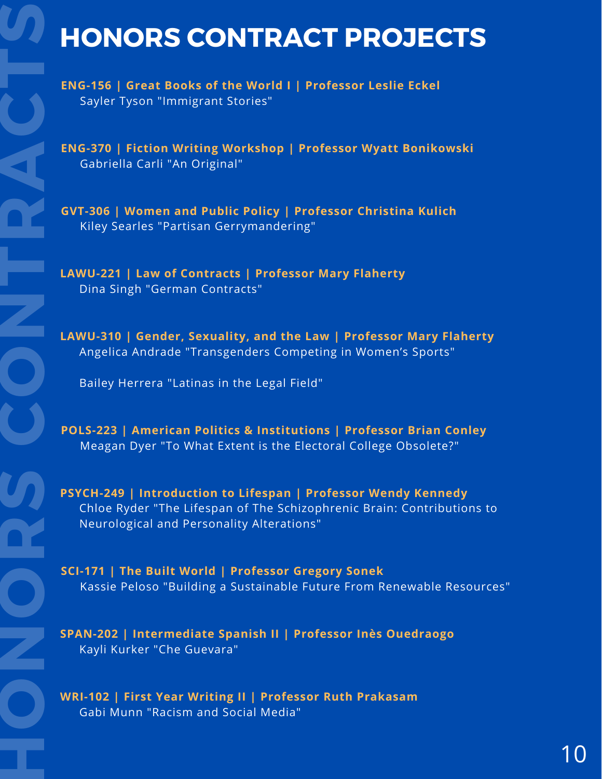# **HONORS CONTRACT PROJECTS**

 **ENG-156 | Great Books of the World I | Professor Leslie Eckel** Sayler Tyson "Immigrant Stories"

**ENG-370** | **Fiction Writing Workshop** | **Professor Wyatt Bonikowski**<br>Gabriella Carli "An Original"<br> Gabriella Carli "An Original"

> **GVT-306 | Women and Public Policy | Professor Christina Kulich** Kiley Searles "Partisan Gerrymandering"

 Dina Singh "German Contracts" **LAWU-221 | Law of Contracts | Professor Mary Flaherty**

**LAWU-310 | Gender, Sexuality, and the Law | Professor Mary Flaherty** Angelica Andrade "Transgenders Competing in Women's Sports"

Bailey Herrera "Latinas in the Legal Field"

 Meagan Dyer "To What Extent is the Electoral College Obsolete?" **POLS-223 | American Politics & Institutions | Professor Brian Conley**

 Chloe Ryder "The Lifespan of The Schizophrenic Brain: Contributions to **PSYCH-249 | Introduction to Lifespan | Professor Wendy Kennedy** Neurological and Personality Alterations"

**SCI-171 | The Built World | Professor Gregory Sonek** Kassie Peloso "Building a Sustainable Future From Renewable Resources"

**SPAN-202 | Intermediate Spanish II | Professor Inès Ouedraogo** Kayli Kurker "Che Guevara"

**WRI-102 | First Year Writing II | Professor Ruth Prakasam** Gabi Munn "Racism and Social Media"

**H**

**O**

**N**

**O**

**R**

**S**

**C**

**O**

**N**

**T**

**R**

**C**

**T**

**S**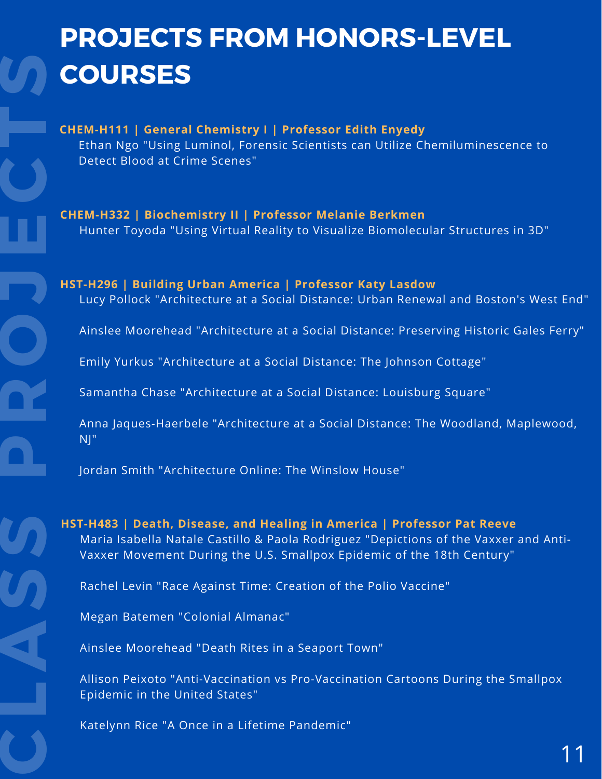# **PROJECTS FROM HONORS-LEVEL COURSES**

 Ethan Ngo "Using Luminol, Forensic Scientists can Utilize Chemiluminescence to **CHEM-H111 | General Chemistry I | Professor Edith Enyedy** Detect Blood at Crime Scenes"

**CHEM-H332 | Biochemistry II | Professor Melanie Berkmen** Hunter Toyoda "Using Virtual Reality to Visualize Biomolecular Structures in 3D"

**J HST-H296 | Building Urban America | Professor Katy Lasdow** Lucy Pollock "Architecture at a Social Distance: Urban Renewal and Boston's West End"

Ainslee Moorehead "Architecture at a Social Distance: Preserving Historic Gales Ferry"

Emily Yurkus "Architecture at a Social Distance: The Johnson Cottage"

Samantha Chase "Architecture at a Social Distance: Louisburg Square"

 Anna Jaques-Haerbele "Architecture at a Social Distance: The Woodland, Maplewood, NJ"

Jordan Smith "Architecture Online: The Winslow House"

 Vaxxer Movement During the U.S. Smallpox Epidemic of the 18th Century" **HST-H483 | Death, Disease, and Healing in America | Professor Pat Reeve** Maria Isabella Natale Castillo & Paola Rodriguez "Depictions of the Vaxxer and Anti-

Rachel Levin "Race Against Time: Creation of the Polio Vaccine"

Megan Batemen "Colonial Almanac"

**C**

**L**

**S**

**S**

**P**

**R**

**O**

**E**

**C**

**T**

**S**

**A**<br>
Ainsle Ainslee Moorehead "Death Rites in a Seaport Town"

Allison Peixoto "Anti-Vaccination vs Pro-Vaccination Cartoons During the Smallpox Epidemic in the United States"

Katelynn Rice "A Once in a Lifetime Pandemic"